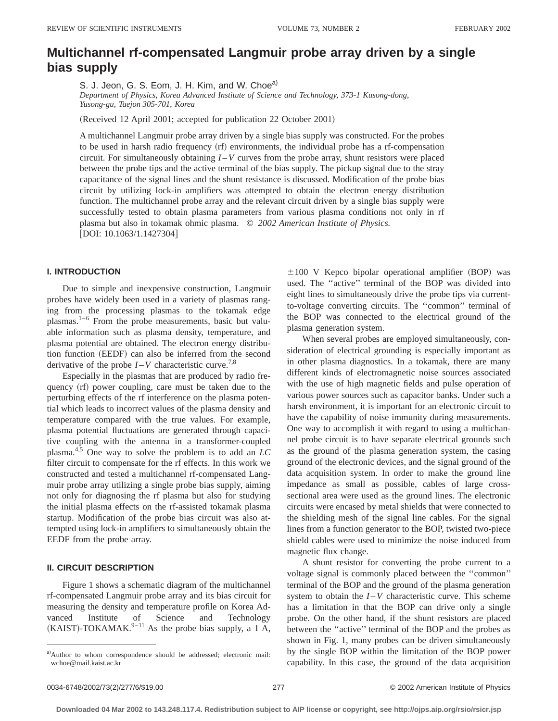# **Multichannel rf-compensated Langmuir probe array driven by a single bias supply**

S. J. Jeon, G. S. Eom, J. H. Kim, and W. Choe<sup>a)</sup>

*Department of Physics, Korea Advanced Institute of Science and Technology, 373-1 Kusong-dong, Yusong-gu, Taejon 305-701, Korea*

(Received 12 April 2001; accepted for publication 22 October 2001)

A multichannel Langmuir probe array driven by a single bias supply was constructed. For the probes to be used in harsh radio frequency (rf) environments, the individual probe has a rf-compensation circuit. For simultaneously obtaining  $I - V$  curves from the probe array, shunt resistors were placed between the probe tips and the active terminal of the bias supply. The pickup signal due to the stray capacitance of the signal lines and the shunt resistance is discussed. Modification of the probe bias circuit by utilizing lock-in amplifiers was attempted to obtain the electron energy distribution function. The multichannel probe array and the relevant circuit driven by a single bias supply were successfully tested to obtain plasma parameters from various plasma conditions not only in rf plasma but also in tokamak ohmic plasma. © *2002 American Institute of Physics.*  $[DOI: 10.1063/1.1427304]$ 

#### **I. INTRODUCTION**

Due to simple and inexpensive construction, Langmuir probes have widely been used in a variety of plasmas ranging from the processing plasmas to the tokamak edge plasmas. $1-6$  From the probe measurements, basic but valuable information such as plasma density, temperature, and plasma potential are obtained. The electron energy distribution function (EEDF) can also be inferred from the second derivative of the probe  $I - V$  characteristic curve.<sup>7,8</sup>

Especially in the plasmas that are produced by radio frequency (rf) power coupling, care must be taken due to the perturbing effects of the rf interference on the plasma potential which leads to incorrect values of the plasma density and temperature compared with the true values. For example, plasma potential fluctuations are generated through capacitive coupling with the antenna in a transformer-coupled plasma.<sup>4,5</sup> One way to solve the problem is to add an  $LC$ filter circuit to compensate for the rf effects. In this work we constructed and tested a multichannel rf-compensated Langmuir probe array utilizing a single probe bias supply, aiming not only for diagnosing the rf plasma but also for studying the initial plasma effects on the rf-assisted tokamak plasma startup. Modification of the probe bias circuit was also attempted using lock-in amplifiers to simultaneously obtain the EEDF from the probe array.

#### **II. CIRCUIT DESCRIPTION**

Figure 1 shows a schematic diagram of the multichannel rf-compensated Langmuir probe array and its bias circuit for measuring the density and temperature profile on Korea Advanced Institute of Science and Technology  $(KAIST)$ -TOKAMAK.<sup>9–11</sup> As the probe bias supply, a 1 A,  $\pm 100$  V Kepco bipolar operational amplifier (BOP) was used. The ''active'' terminal of the BOP was divided into eight lines to simultaneously drive the probe tips via currentto-voltage converting circuits. The ''common'' terminal of the BOP was connected to the electrical ground of the plasma generation system.

When several probes are employed simultaneously, consideration of electrical grounding is especially important as in other plasma diagnostics. In a tokamak, there are many different kinds of electromagnetic noise sources associated with the use of high magnetic fields and pulse operation of various power sources such as capacitor banks. Under such a harsh environment, it is important for an electronic circuit to have the capability of noise immunity during measurements. One way to accomplish it with regard to using a multichannel probe circuit is to have separate electrical grounds such as the ground of the plasma generation system, the casing ground of the electronic devices, and the signal ground of the data acquisition system. In order to make the ground line impedance as small as possible, cables of large crosssectional area were used as the ground lines. The electronic circuits were encased by metal shields that were connected to the shielding mesh of the signal line cables. For the signal lines from a function generator to the BOP, twisted two-piece shield cables were used to minimize the noise induced from magnetic flux change.

A shunt resistor for converting the probe current to a voltage signal is commonly placed between the ''common'' terminal of the BOP and the ground of the plasma generation system to obtain the  $I - V$  characteristic curve. This scheme has a limitation in that the BOP can drive only a single probe. On the other hand, if the shunt resistors are placed between the ''active'' terminal of the BOP and the probes as shown in Fig. 1, many probes can be driven simultaneously by the single BOP within the limitation of the BOP power capability. In this case, the ground of the data acquisition

a)Author to whom correspondence should be addressed; electronic mail: wchoe@mail.kaist.ac.kr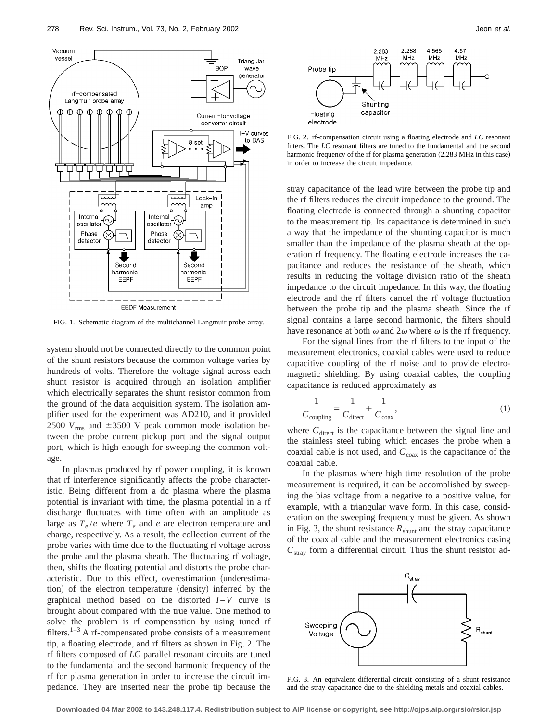

FIG. 1. Schematic diagram of the multichannel Langmuir probe array.

system should not be connected directly to the common point of the shunt resistors because the common voltage varies by hundreds of volts. Therefore the voltage signal across each shunt resistor is acquired through an isolation amplifier which electrically separates the shunt resistor common from the ground of the data acquisition system. The isolation amplifier used for the experiment was AD210, and it provided 2500  $V_{\text{rms}}$  and  $\pm$ 3500 V peak common mode isolation between the probe current pickup port and the signal output port, which is high enough for sweeping the common voltage.

In plasmas produced by rf power coupling, it is known that rf interference significantly affects the probe characteristic. Being different from a dc plasma where the plasma potential is invariant with time, the plasma potential in a rf discharge fluctuates with time often with an amplitude as large as  $T_e/e$  where  $T_e$  and  $e$  are electron temperature and charge, respectively. As a result, the collection current of the probe varies with time due to the fluctuating rf voltage across the probe and the plasma sheath. The fluctuating rf voltage, then, shifts the floating potential and distorts the probe characteristic. Due to this effect, overestimation (underestimation) of the electron temperature (density) inferred by the graphical method based on the distorted  $I-V$  curve is brought about compared with the true value. One method to solve the problem is rf compensation by using tuned rf filters.<sup>1–3</sup> A rf-compensated probe consists of a measurement tip, a floating electrode, and rf filters as shown in Fig. 2. The rf filters composed of *LC* parallel resonant circuits are tuned to the fundamental and the second harmonic frequency of the rf for plasma generation in order to increase the circuit impedance. They are inserted near the probe tip because the



FIG. 2. rf-compensation circuit using a floating electrode and *LC* resonant filters. The *LC* resonant filters are tuned to the fundamental and the second harmonic frequency of the rf for plasma generation (2.283 MHz in this case) in order to increase the circuit impedance.

stray capacitance of the lead wire between the probe tip and the rf filters reduces the circuit impedance to the ground. The floating electrode is connected through a shunting capacitor to the measurement tip. Its capacitance is determined in such a way that the impedance of the shunting capacitor is much smaller than the impedance of the plasma sheath at the operation rf frequency. The floating electrode increases the capacitance and reduces the resistance of the sheath, which results in reducing the voltage division ratio of the sheath impedance to the circuit impedance. In this way, the floating electrode and the rf filters cancel the rf voltage fluctuation between the probe tip and the plasma sheath. Since the rf signal contains a large second harmonic, the filters should have resonance at both  $\omega$  and  $2\omega$  where  $\omega$  is the rf frequency.

For the signal lines from the rf filters to the input of the measurement electronics, coaxial cables were used to reduce capacitive coupling of the rf noise and to provide electromagnetic shielding. By using coaxial cables, the coupling capacitance is reduced approximately as

$$
\frac{1}{C_{\text{coupling}}} = \frac{1}{C_{\text{direct}}} + \frac{1}{C_{\text{coax}}},\tag{1}
$$

where  $C_{\text{direct}}$  is the capacitance between the signal line and the stainless steel tubing which encases the probe when a coaxial cable is not used, and  $C_{\text{coax}}$  is the capacitance of the coaxial cable.

In the plasmas where high time resolution of the probe measurement is required, it can be accomplished by sweeping the bias voltage from a negative to a positive value, for example, with a triangular wave form. In this case, consideration on the sweeping frequency must be given. As shown in Fig. 3, the shunt resistance  $R_{\text{shunt}}$  and the stray capacitance of the coaxial cable and the measurement electronics casing  $C_{\text{stray}}$  form a differential circuit. Thus the shunt resistor ad-



FIG. 3. An equivalent differential circuit consisting of a shunt resistance and the stray capacitance due to the shielding metals and coaxial cables.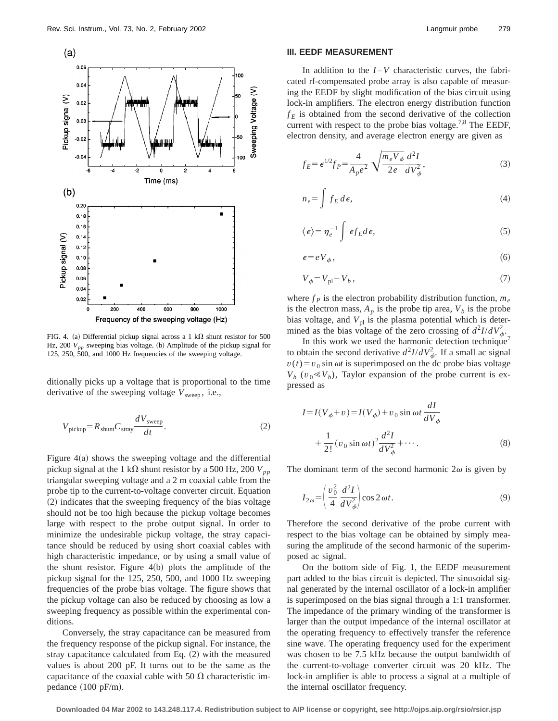

FIG. 4. (a) Differential pickup signal across a 1 k $\Omega$  shunt resistor for 500 Hz, 200  $V_{pp}$  sweeping bias voltage. (b) Amplitude of the pickup signal for 125, 250, 500, and 1000 Hz frequencies of the sweeping voltage.

ditionally picks up a voltage that is proportional to the time derivative of the sweeping voltage  $V_{\text{sween}}$ , i.e.,

$$
V_{\text{pickup}} = R_{\text{shunt}} C_{\text{stray}} \frac{dV_{\text{sweep}}}{dt}.
$$
 (2)

Figure  $4(a)$  shows the sweeping voltage and the differential pickup signal at the 1 k $\Omega$  shunt resistor by a 500 Hz, 200  $V_{pp}$ triangular sweeping voltage anda2m coaxial cable from the probe tip to the current-to-voltage converter circuit. Equation  $(2)$  indicates that the sweeping frequency of the bias voltage should not be too high because the pickup voltage becomes large with respect to the probe output signal. In order to minimize the undesirable pickup voltage, the stray capacitance should be reduced by using short coaxial cables with high characteristic impedance, or by using a small value of the shunt resistor. Figure  $4(b)$  plots the amplitude of the pickup signal for the 125, 250, 500, and 1000 Hz sweeping frequencies of the probe bias voltage. The figure shows that the pickup voltage can also be reduced by choosing as low a sweeping frequency as possible within the experimental conditions.

Conversely, the stray capacitance can be measured from the frequency response of the pickup signal. For instance, the stray capacitance calculated from Eq.  $(2)$  with the measured values is about 200 pF. It turns out to be the same as the capacitance of the coaxial cable with 50  $\Omega$  characteristic impedance  $(100 \text{ pF/m}).$ 

### **III. EEDF MEASUREMENT**

In addition to the  $I - V$  characteristic curves, the fabricated rf-compensated probe array is also capable of measuring the EEDF by slight modification of the bias circuit using lock-in amplifiers. The electron energy distribution function  $f_E$  is obtained from the second derivative of the collection current with respect to the probe bias voltage.<sup>7,8</sup> The EEDF, electron density, and average electron energy are given as

$$
f_E = \epsilon^{1/2} f_P = \frac{4}{A_P e^2} \sqrt{\frac{m_e V_\phi}{2e}} \frac{d^2 I}{dV_\phi^2},
$$
 (3)

$$
n_e = \int f_E d\,\epsilon,\tag{4}
$$

$$
\langle \epsilon \rangle = \eta_e^{-1} \int \epsilon f_E d\epsilon, \qquad (5)
$$

$$
\epsilon = eV_{\phi},\tag{6}
$$

$$
V_{\phi} = V_{\text{pl}} - V_b \,,\tag{7}
$$

where  $f_p$  is the electron probability distribution function,  $m_e$ is the electron mass,  $A_p$  is the probe tip area,  $V_b$  is the probe bias voltage, and  $V_{\text{pl}}$  is the plasma potential which is determined as the bias voltage of the zero crossing of  $d^2I/dV_{\phi}^2$ .

In this work we used the harmonic detection technique<sup>7</sup> to obtain the second derivative  $d^2I/dV_{\phi}^2$ . If a small ac signal  $v(t) = v_0 \sin \omega t$  is superimposed on the dc probe bias voltage  $V_b$  ( $v_0 \ll V_b$ ), Taylor expansion of the probe current is expressed as

$$
I = I(V_{\phi} + v) = I(V_{\phi}) + v_0 \sin \omega t \frac{dI}{dV_{\phi}}
$$
  
+ 
$$
\frac{1}{2!} (v_0 \sin \omega t)^2 \frac{d^2I}{dV_{\phi}^2} + \cdots
$$
 (8)

The dominant term of the second harmonic  $2\omega$  is given by

$$
I_{2\omega} = \left(\frac{v_0^2}{4} \frac{d^2 I}{dV_{\phi}^2}\right) \cos 2\omega t.
$$
 (9)

Therefore the second derivative of the probe current with respect to the bias voltage can be obtained by simply measuring the amplitude of the second harmonic of the superimposed ac signal.

On the bottom side of Fig. 1, the EEDF measurement part added to the bias circuit is depicted. The sinusoidal signal generated by the internal oscillator of a lock-in amplifier is superimposed on the bias signal through a 1:1 transformer. The impedance of the primary winding of the transformer is larger than the output impedance of the internal oscillator at the operating frequency to effectively transfer the reference sine wave. The operating frequency used for the experiment was chosen to be 7.5 kHz because the output bandwidth of the current-to-voltage converter circuit was 20 kHz. The lock-in amplifier is able to process a signal at a multiple of the internal oscillator frequency.

**Downloaded 04 Mar 2002 to 143.248.117.4. Redistribution subject to AIP license or copyright, see http://ojps.aip.org/rsio/rsicr.jsp**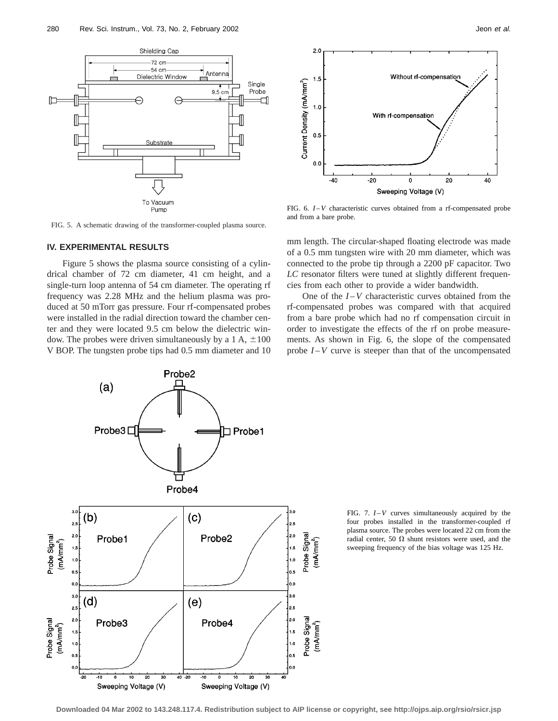

FIG. 5. A schematic drawing of the transformer-coupled plasma source.

### **IV. EXPERIMENTAL RESULTS**

Figure 5 shows the plasma source consisting of a cylindrical chamber of 72 cm diameter, 41 cm height, and a single-turn loop antenna of 54 cm diameter. The operating rf frequency was 2.28 MHz and the helium plasma was produced at 50 mTorr gas pressure. Four rf-compensated probes were installed in the radial direction toward the chamber center and they were located 9.5 cm below the dielectric window. The probes were driven simultaneously by a 1 A,  $\pm 100$ V BOP. The tungsten probe tips had 0.5 mm diameter and 10



FIG. 6. *I* –*V* characteristic curves obtained from a rf-compensated probe and from a bare probe.

mm length. The circular-shaped floating electrode was made of a 0.5 mm tungsten wire with 20 mm diameter, which was connected to the probe tip through a 2200 pF capacitor. Two *LC* resonator filters were tuned at slightly different frequencies from each other to provide a wider bandwidth.

One of the *I* –*V* characteristic curves obtained from the rf-compensated probes was compared with that acquired from a bare probe which had no rf compensation circuit in order to investigate the effects of the rf on probe measurements. As shown in Fig. 6, the slope of the compensated probe  $I - V$  curve is steeper than that of the uncompensated



FIG. 7.  $I-V$  curves simultaneously acquired by the four probes installed in the transformer-coupled rf plasma source. The probes were located 22 cm from the radial center, 50  $\Omega$  shunt resistors were used, and the sweeping frequency of the bias voltage was 125 Hz.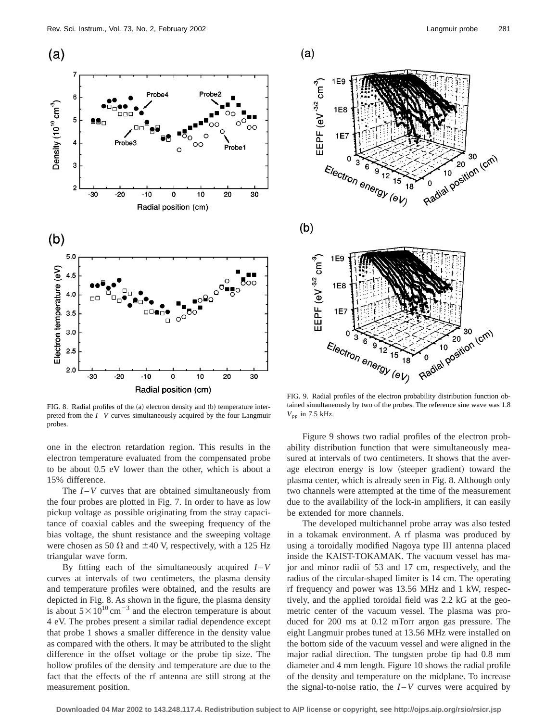

FIG. 8. Radial profiles of the (a) electron density and (b) temperature interpreted from the  $I - V$  curves simultaneously acquired by the four Langmuir probes.

one in the electron retardation region. This results in the electron temperature evaluated from the compensated probe to be about 0.5 eV lower than the other, which is about a 15% difference.

The  $I - V$  curves that are obtained simultaneously from the four probes are plotted in Fig. 7. In order to have as low pickup voltage as possible originating from the stray capacitance of coaxial cables and the sweeping frequency of the bias voltage, the shunt resistance and the sweeping voltage were chosen as 50  $\Omega$  and  $\pm 40$  V, respectively, with a 125 Hz triangular wave form.

By fitting each of the simultaneously acquired  $I - V$ curves at intervals of two centimeters, the plasma density and temperature profiles were obtained, and the results are depicted in Fig. 8. As shown in the figure, the plasma density is about  $5 \times 10^{10}$  cm<sup>-3</sup> and the electron temperature is about 4 eV. The probes present a similar radial dependence except that probe 1 shows a smaller difference in the density value as compared with the others. It may be attributed to the slight difference in the offset voltage or the probe tip size. The hollow profiles of the density and temperature are due to the fact that the effects of the rf antenna are still strong at the measurement position.



 $(a)$ 

FIG. 9. Radial profiles of the electron probability distribution function obtained simultaneously by two of the probes. The reference sine wave was 1.8 *Vpp* in 7.5 kHz.

Figure 9 shows two radial profiles of the electron probability distribution function that were simultaneously measured at intervals of two centimeters. It shows that the average electron energy is low (steeper gradient) toward the plasma center, which is already seen in Fig. 8. Although only two channels were attempted at the time of the measurement due to the availability of the lock-in amplifiers, it can easily be extended for more channels.

The developed multichannel probe array was also tested in a tokamak environment. A rf plasma was produced by using a toroidally modified Nagoya type III antenna placed inside the KAIST-TOKAMAK. The vacuum vessel has major and minor radii of 53 and 17 cm, respectively, and the radius of the circular-shaped limiter is 14 cm. The operating rf frequency and power was 13.56 MHz and 1 kW, respectively, and the applied toroidal field was 2.2 kG at the geometric center of the vacuum vessel. The plasma was produced for 200 ms at 0.12 mTorr argon gas pressure. The eight Langmuir probes tuned at 13.56 MHz were installed on the bottom side of the vacuum vessel and were aligned in the major radial direction. The tungsten probe tip had 0.8 mm diameter and 4 mm length. Figure 10 shows the radial profile of the density and temperature on the midplane. To increase the signal-to-noise ratio, the  $I-V$  curves were acquired by